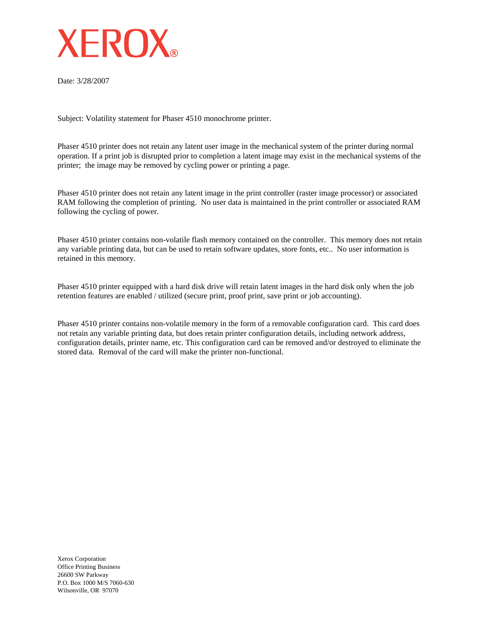

Date: 3/28/2007

Subject: Volatility statement for Phaser 4510 monochrome printer.

Phaser 4510 printer does not retain any latent user image in the mechanical system of the printer during normal operation. If a print job is disrupted prior to completion a latent image may exist in the mechanical systems of the printer; the image may be removed by cycling power or printing a page.

Phaser 4510 printer does not retain any latent image in the print controller (raster image processor) or associated RAM following the completion of printing. No user data is maintained in the print controller or associated RAM following the cycling of power.

Phaser 4510 printer contains non-volatile flash memory contained on the controller. This memory does not retain any variable printing data, but can be used to retain software updates, store fonts, etc.. No user information is retained in this memory.

Phaser 4510 printer equipped with a hard disk drive will retain latent images in the hard disk only when the job retention features are enabled / utilized (secure print, proof print, save print or job accounting).

Phaser 4510 printer contains non-volatile memory in the form of a removable configuration card. This card does not retain any variable printing data, but does retain printer configuration details, including network address, configuration details, printer name, etc. This configuration card can be removed and/or destroyed to eliminate the stored data. Removal of the card will make the printer non-functional.

Xerox Corporation Office Printing Business 26600 SW Parkway P.O. Box 1000 M/S 7060-630 Wilsonville, OR 97070